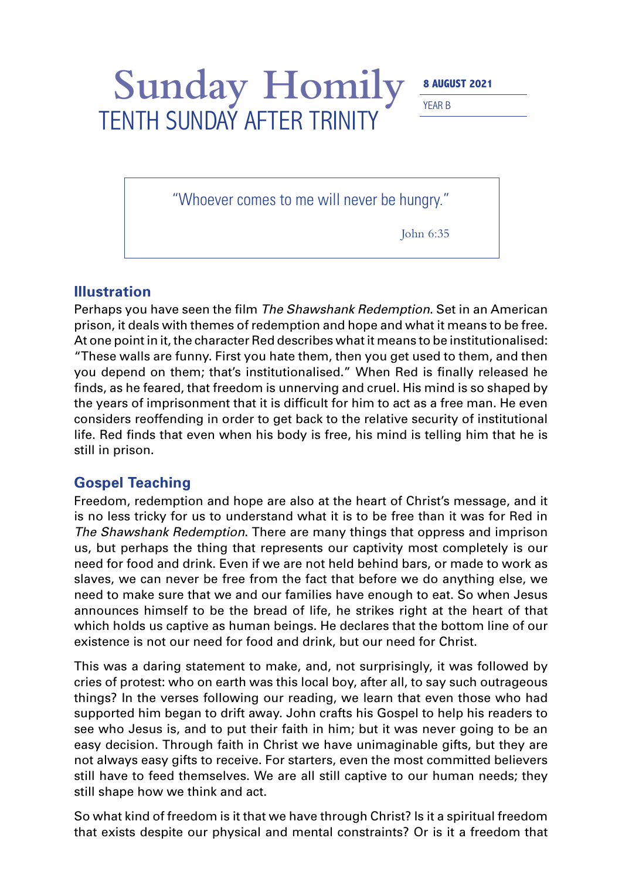Sunday Homily **8 AUGUST 2021** 

YEAR B

"Whoever comes to me will never be hungry."

TENTH SUNDAY AFTER TRINITY

John 6:35

## **Illustration**

Perhaps you have seen the film *The Shawshank Redemption*. Set in an American prison, it deals with themes of redemption and hope and what it means to be free. At one point in it, the character Red describes what it means to be institutionalised: "These walls are funny. First you hate them, then you get used to them, and then you depend on them; that's institutionalised." When Red is finally released he finds, as he feared, that freedom is unnerving and cruel. His mind is so shaped by the years of imprisonment that it is difficult for him to act as a free man. He even considers reoffending in order to get back to the relative security of institutional life. Red finds that even when his body is free, his mind is telling him that he is still in prison.

## **Gospel Teaching**

Freedom, redemption and hope are also at the heart of Christ's message, and it is no less tricky for us to understand what it is to be free than it was for Red in *The Shawshank Redemption*. There are many things that oppress and imprison us, but perhaps the thing that represents our captivity most completely is our need for food and drink. Even if we are not held behind bars, or made to work as slaves, we can never be free from the fact that before we do anything else, we need to make sure that we and our families have enough to eat. So when Jesus announces himself to be the bread of life, he strikes right at the heart of that which holds us captive as human beings. He declares that the bottom line of our existence is not our need for food and drink, but our need for Christ.

This was a daring statement to make, and, not surprisingly, it was followed by cries of protest: who on earth was this local boy, after all, to say such outrageous things? In the verses following our reading, we learn that even those who had supported him began to drift away. John crafts his Gospel to help his readers to see who Jesus is, and to put their faith in him; but it was never going to be an easy decision. Through faith in Christ we have unimaginable gifts, but they are not always easy gifts to receive. For starters, even the most committed believers still have to feed themselves. We are all still captive to our human needs; they still shape how we think and act.

So what kind of freedom is it that we have through Christ? Is it a spiritual freedom that exists despite our physical and mental constraints? Or is it a freedom that